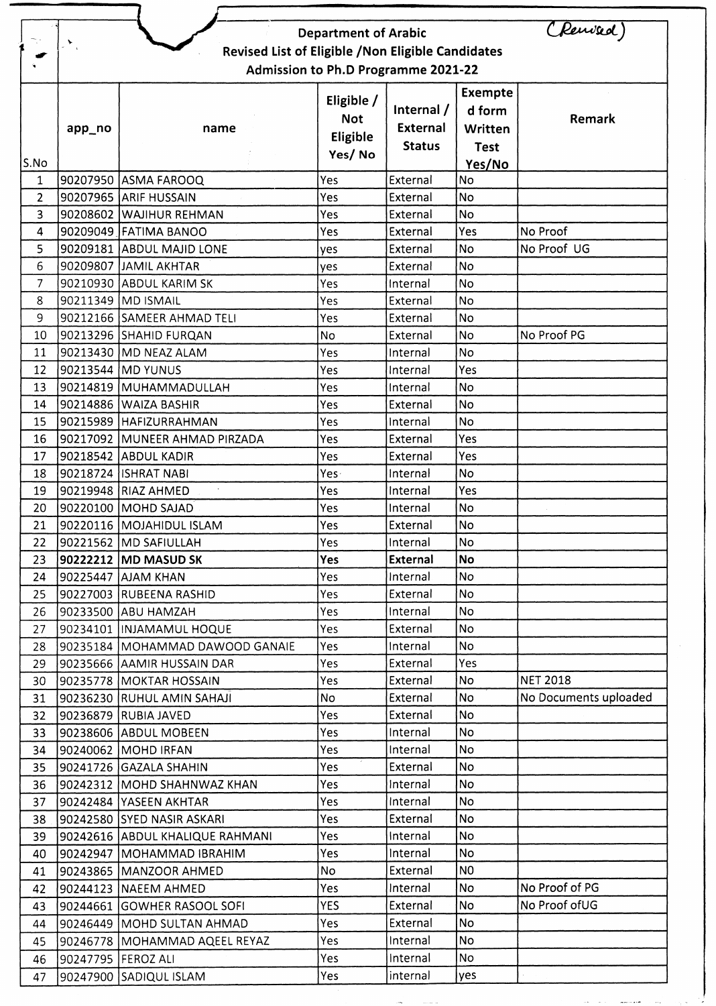|                | $\sum_{\lambda}$                                   |                                                  | <b>Department of Arabic</b> |                      |                | (Rewised              |  |  |  |  |
|----------------|----------------------------------------------------|--------------------------------------------------|-----------------------------|----------------------|----------------|-----------------------|--|--|--|--|
|                | Revised List of Eligible / Non Eligible Candidates |                                                  |                             |                      |                |                       |  |  |  |  |
|                | Admission to Ph.D Programme 2021-22                |                                                  |                             |                      |                |                       |  |  |  |  |
|                |                                                    |                                                  | Eligible /                  |                      | <b>Exempte</b> |                       |  |  |  |  |
|                |                                                    |                                                  | <b>Not</b>                  | Internal /           | d form         | Remark                |  |  |  |  |
|                | app_no                                             | name                                             | Eligible                    | <b>External</b>      | Written        |                       |  |  |  |  |
|                |                                                    |                                                  | Yes/No                      | <b>Status</b>        | <b>Test</b>    |                       |  |  |  |  |
| S.No           |                                                    |                                                  |                             |                      | Yes/No         |                       |  |  |  |  |
| $\mathbf{1}$   |                                                    | 90207950 ASMA FAROOQ                             | Yes                         | External             | No             |                       |  |  |  |  |
| $\overline{2}$ |                                                    | 90207965 ARIF HUSSAIN                            | Yes                         | External             | <b>No</b>      |                       |  |  |  |  |
| 3<br>4         |                                                    | 90208602 WAJIHUR REHMAN<br>90209049 FATIMA BANOO | Yes<br>Yes                  | External<br>External | No<br>Yes      | No Proof              |  |  |  |  |
| 5              |                                                    | 90209181 ABDUL MAJID LONE                        |                             | External             | <b>No</b>      | No Proof UG           |  |  |  |  |
| 6              |                                                    | 90209807 JAMIL AKHTAR                            | yes                         | External             | <b>No</b>      |                       |  |  |  |  |
| $\overline{7}$ |                                                    | 90210930 ABDUL KARIM SK                          | yes                         |                      | <b>No</b>      |                       |  |  |  |  |
|                |                                                    | 90211349 MD ISMAIL                               | Yes<br>Yes                  | Internal             | <b>No</b>      |                       |  |  |  |  |
| 8              |                                                    | 90212166 SAMEER AHMAD TELI                       | Yes                         | External<br>External | <b>No</b>      |                       |  |  |  |  |
| 9              |                                                    | 90213296 SHAHID FURQAN                           |                             |                      | No             | No Proof PG           |  |  |  |  |
| 10<br>11       |                                                    | 90213430 MD NEAZ ALAM                            | No<br>Yes                   | External<br>Internal | <b>No</b>      |                       |  |  |  |  |
| 12             |                                                    | 90213544 MD YUNUS                                |                             |                      | Yes            |                       |  |  |  |  |
| 13             |                                                    | 90214819 MUHAMMADULLAH                           | Yes<br>Yes                  | Internal<br>Internal | <b>No</b>      |                       |  |  |  |  |
| 14             |                                                    | 90214886 WAIZA BASHIR                            | Yes                         | External             | No             |                       |  |  |  |  |
| 15             |                                                    | 90215989 HAFIZURRAHMAN                           | Yes                         | Internal             | <b>No</b>      |                       |  |  |  |  |
| 16             |                                                    | 90217092 MUNEER AHMAD PIRZADA                    | Yes                         | External             | Yes            |                       |  |  |  |  |
| 17             |                                                    | 90218542 ABDUL KADIR                             | Yes                         | External             | Yes            |                       |  |  |  |  |
| 18             |                                                    | 90218724 ISHRAT NABI                             | Yes.                        | Internal             | <b>No</b>      |                       |  |  |  |  |
| 19             |                                                    | 90219948 RIAZ AHMED                              | Yes                         | Internal             | Yes            |                       |  |  |  |  |
| 20             |                                                    | 90220100 MOHD SAJAD                              | Yes                         | Internal             | No             |                       |  |  |  |  |
| 21             |                                                    | 90220116 MOJAHIDUL ISLAM                         | Yes                         | External             | No             |                       |  |  |  |  |
| 22             |                                                    | 90221562  MD SAFIULLAH                           | Yes                         | Internal             | No             |                       |  |  |  |  |
| 23             |                                                    | 90222212 MD MASUD SK                             | Yes                         | <b>External</b>      | <b>No</b>      |                       |  |  |  |  |
| 24             |                                                    | 90225447 AJAM KHAN                               | Yes                         | Internal             | No             |                       |  |  |  |  |
| 25             |                                                    | 90227003 RUBEENA RASHID                          | Yes                         | External             | No.            |                       |  |  |  |  |
| 26             |                                                    | 90233500 ABU HAMZAH                              | Yes                         | Internal             | No             |                       |  |  |  |  |
| 27             |                                                    | 90234101  INJAMAMUL HOQUE                        | Yes                         | External             | No.            |                       |  |  |  |  |
| 28             |                                                    | 90235184  MOHAMMAD DAWOOD GANAIE                 | Yes                         | Internal             | No.            |                       |  |  |  |  |
| 29             |                                                    | 90235666 AAMIR HUSSAIN DAR                       | <b>Yes</b>                  | External             | <b>Yes</b>     |                       |  |  |  |  |
| 30             |                                                    | 90235778   MOKTAR HOSSAIN                        | Yes                         | External             | No.            | <b>NET 2018</b>       |  |  |  |  |
| 31             |                                                    | 90236230 RUHUL AMIN SAHAJI                       | No.                         | External             | No             | No Documents uploaded |  |  |  |  |
| 32             |                                                    | 90236879 RUBIA JAVED                             | Yes                         | External             | <b>No</b>      |                       |  |  |  |  |
| 33             |                                                    | 90238606 ABDUL MOBEEN                            | Yes                         | Internal             | No             |                       |  |  |  |  |
| 34             |                                                    | 90240062 MOHD IRFAN                              | Yes                         | Internal             | No             |                       |  |  |  |  |
| 35             |                                                    | 90241726 GAZALA SHAHIN                           | Yes                         | External             | No.            |                       |  |  |  |  |
| 36             |                                                    | 90242312   MOHD SHAHNWAZ KHAN                    | Yes                         | Internal             | No.            |                       |  |  |  |  |
| 37             |                                                    | 90242484 YASEEN AKHTAR                           | Yes                         | Internal             | <b>No</b>      |                       |  |  |  |  |
| 38             |                                                    | 90242580 SYED NASIR ASKARI                       | Yes                         | External             | No             |                       |  |  |  |  |
| 39             |                                                    | 90242616 ABDUL KHALIQUE RAHMANI                  | Yes                         | Internal             | No             |                       |  |  |  |  |
| 40             |                                                    | 90242947  MOHAMMAD IBRAHIM                       | Yes                         | Internal             | No             |                       |  |  |  |  |
| 41             |                                                    | 90243865  MANZOOR AHMED                          | No.                         | External             | N <sub>0</sub> |                       |  |  |  |  |
| 42             |                                                    | 90244123 NAEEM AHMED                             | Yes                         | Internal             | No             | No Proof of PG        |  |  |  |  |
| 43             |                                                    | 90244661 GOWHER RASOOL SOFI                      | <b>YES</b>                  | External             | No             | No Proof of UG        |  |  |  |  |
| 44             |                                                    | 90246449   MOHD SULTAN AHMAD                     | Yes                         | External             | No             |                       |  |  |  |  |
| 45             |                                                    | 90246778   MOHAMMAD AQEEL REYAZ                  | Yes                         | Internal             | No.            |                       |  |  |  |  |
| 46             | 90247795   FEROZ ALI                               |                                                  | Yes                         | Internal             | No             |                       |  |  |  |  |
| 47             |                                                    | 90247900 SADIQUL ISLAM                           | Yes                         | internal             | yes            |                       |  |  |  |  |
|                |                                                    |                                                  |                             |                      |                |                       |  |  |  |  |